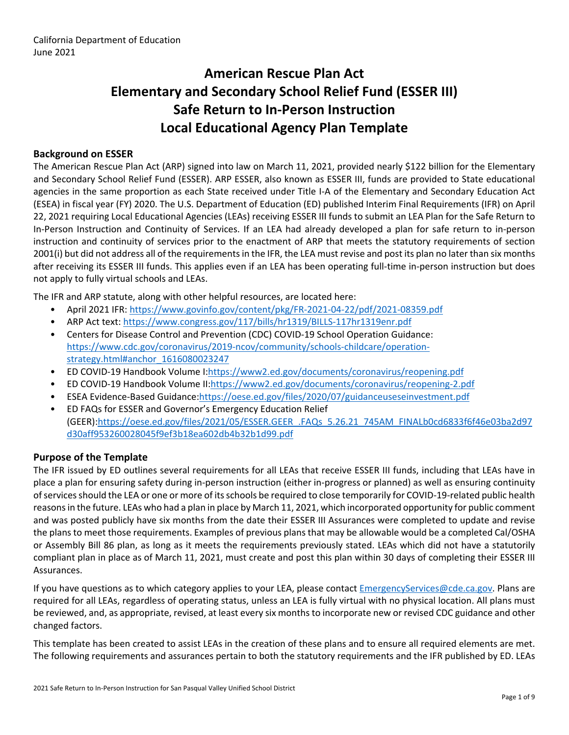# **American Rescue Plan Act Elementary and Secondary School Relief Fund (ESSER III) Safe Return to In-Person Instruction Local Educational Agency Plan Template**

#### **Background on ESSER**

The American Rescue Plan Act (ARP) signed into law on March 11, 2021, provided nearly \$122 billion for the Elementary and Secondary School Relief Fund (ESSER). ARP ESSER, also known as ESSER III, funds are provided to State educational agencies in the same proportion as each State received under Title I-A of the Elementary and Secondary Education Act (ESEA) in fiscal year (FY) 2020. The U.S. Department of Education (ED) published Interim Final Requirements (IFR) on April 22, 2021 requiring Local Educational Agencies (LEAs) receiving ESSER III funds to submit an LEA Plan for the Safe Return to In-Person Instruction and Continuity of Services. If an LEA had already developed a plan for safe return to in-person instruction and continuity of services prior to the enactment of ARP that meets the statutory requirements of section 2001(i) but did not address all of the requirements in the IFR, the LEA must revise and post its plan no later than six months after receiving its ESSER III funds. This applies even if an LEA has been operating full-time in-person instruction but does not apply to fully virtual schools and LEAs.

The IFR and ARP statute, along with other helpful resources, are located here:

- April 2021 IFR: <https://www.govinfo.gov/content/pkg/FR-2021-04-22/pdf/2021-08359.pdf>
- ARP Act text: <https://www.congress.gov/117/bills/hr1319/BILLS-117hr1319enr.pdf>
- Centers for Disease Control and Prevention (CDC) COVID-19 School Operation Guidance: [https://www.cdc.gov/coronavirus/2019-ncov/community/schools-childcare/operation](https://www.cdc.gov/coronavirus/2019-ncov/community/schools-childcare/operation-strategy.html#anchor_1616080023247)[strategy.html#anchor\\_1616080023247](https://www.cdc.gov/coronavirus/2019-ncov/community/schools-childcare/operation-strategy.html#anchor_1616080023247)
- ED COVID-19 Handbook Volume I:[https://www2.ed.gov/documents/coronavirus/reopening.pdf](https://www2.ed.gov/documents/coronavirus/reopening.pdf%20)
- ED COVID-19 Handbook Volume II:<https://www2.ed.gov/documents/coronavirus/reopening-2.pdf>
- ESEA Evidence-Based Guidance[:https://oese.ed.gov/files/2020/07/guidanceuseseinvestment.pdf](https://oese.ed.gov/files/2020/07/guidanceuseseinvestment.pdf)
- ED FAQs for ESSER and Governor's Emergency Education Relief (GEER)[:https://oese.ed.gov/files/2021/05/ESSER.GEER\\_.FAQs\\_5.26.21\\_745AM\\_FINALb0cd6833f6f46e03ba2d97](https://oese.ed.gov/files/2021/05/ESSER.GEER_.FAQs_5.26.21_745AM_FINALb0cd6833f6f46e03ba2d97d30aff953260028045f9ef3b18ea602db4b32b1d99.pdf) [d30aff953260028045f9ef3b18ea602db4b32b1d99.pdf](https://oese.ed.gov/files/2021/05/ESSER.GEER_.FAQs_5.26.21_745AM_FINALb0cd6833f6f46e03ba2d97d30aff953260028045f9ef3b18ea602db4b32b1d99.pdf)

#### **Purpose of the Template**

The IFR issued by ED outlines several requirements for all LEAs that receive ESSER III funds, including that LEAs have in place a plan for ensuring safety during in-person instruction (either in-progress or planned) as well as ensuring continuity ofservicesshould the LEA or one or more of itsschools be required to close temporarily for COVID-19-related public health reasons in the future. LEAs who had a plan in place by March 11, 2021, which incorporated opportunity for public comment and was posted publicly have six months from the date their ESSER III Assurances were completed to update and revise the plans to meet those requirements. Examples of previous plans that may be allowable would be a completed Cal/OSHA or Assembly Bill 86 plan, as long as it meets the requirements previously stated. LEAs which did not have a statutorily compliant plan in place as of March 11, 2021, must create and post this plan within 30 days of completing their ESSER III Assurances.

If you have questions as to which category applies to your LEA, please contact [EmergencyServices@cde.ca.gov.](mailto:EmergencyServices@cde.ca.gov) Plans are required for all LEAs, regardless of operating status, unless an LEA is fully virtual with no physical location. All plans must be reviewed, and, as appropriate, revised, at least every six monthsto incorporate new or revised CDC guidance and other changed factors.

This template has been created to assist LEAs in the creation of these plans and to ensure all required elements are met. The following requirements and assurances pertain to both the statutory requirements and the IFR published by ED. LEAs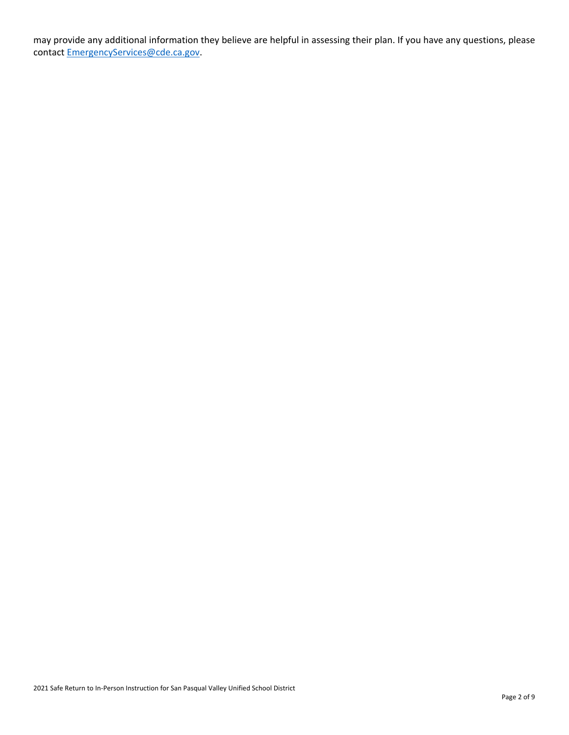may provide any additional information they believe are helpful in assessing their plan. If you have any questions, please contact [EmergencyServices@cde.ca.gov.](mailto:EmergencyServices@cde.ca.gov)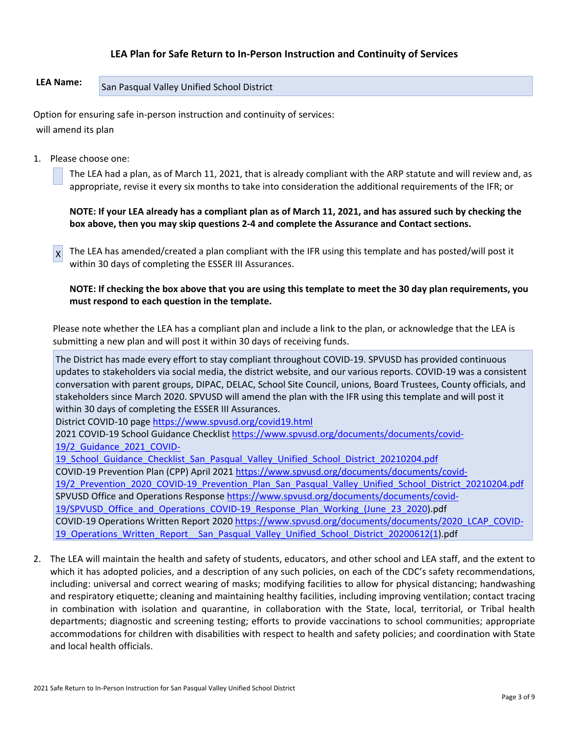# **LEA Plan for Safe Return to In-Person Instruction and Continuity of Services**

# **LEA Name:** San Pasqual Valley Unified School District

Option for ensuring safe in-person instruction and continuity of services: will amend its plan

1. Please choose one:

The LEA had a plan, as of March 11, 2021, that is already compliant with the ARP statute and will review and, as appropriate, revise it every six months to take into consideration the additional requirements of the IFR; or

NOTE: If your LEA already has a compliant plan as of March 11, 2021, and has assured such by checking the **box above, then you may skip questions 2-4 and complete the Assurance and Contact sections.**

X The LEA has amended/created a plan compliant with the IFR using this template and has posted/will post it within 30 days of completing the ESSER III Assurances.

NOTE: If checking the box above that you are using this template to meet the 30 day plan requirements, you **must respond to each question in the template.**

Please note whether the LEA has a compliant plan and include a link to the plan, or acknowledge that the LEA is submitting a new plan and will post it within 30 days of receiving funds.

The District has made every effort to stay compliant throughout COVID-19. SPVUSD has provided continuous updates to stakeholders via social media, the district website, and our various reports. COVID-19 was a consistent conversation with parent groups, DIPAC, DELAC, School Site Council, unions, Board Trustees, County officials, and stakeholders since March 2020. SPVUSD will amend the plan with the IFR using this template and will post it within 30 days of completing the ESSER III Assurances.

District COVID-10 page <https://www.spvusd.org/covid19.html>

2021 COVID-19 School Guidance Checklist [https://www.spvusd.org/documents/documents/covid-](https://www.spvusd.org/documents/documents/covid-19/2_Guidance_2021_COVID-19_School_Guidance_Checklist_San_Pasqual_Valley_Unified_School_District_20210204.pdf)[19/2\\_Guidance\\_2021\\_COVID-](https://www.spvusd.org/documents/documents/covid-19/2_Guidance_2021_COVID-19_School_Guidance_Checklist_San_Pasqual_Valley_Unified_School_District_20210204.pdf)

19 School Guidance Checklist San Pasqual Valley Unified School District 20210204.pdf

COVID-19 Prevention Plan (CPP) April 2021 [https://www.spvusd.org/documents/documents/covid-](https://www.spvusd.org/documents/documents/covid-19/2_Prevention_2020_COVID-19_Prevention_Plan_San_Pasqual_Valley_Unified_School_District_20210204.pdf)

[19/2\\_Prevention\\_2020\\_COVID-19\\_Prevention\\_Plan\\_San\\_Pasqual\\_Valley\\_Unified\\_School\\_District\\_20210204.pdf](https://www.spvusd.org/documents/documents/covid-19/2_Prevention_2020_COVID-19_Prevention_Plan_San_Pasqual_Valley_Unified_School_District_20210204.pdf) SPVUSD Office and Operations Response [https://www.spvusd.org/documents/documents/covid-](https://www.spvusd.org/documents/documents/covid-19/SPVUSD_Office_and_Operations_COVID-19_Response_Plan_Working_(June_23_2020)

[19/SPVUSD\\_Office\\_and\\_Operations\\_COVID-19\\_Response\\_Plan\\_Working\\_\(June\\_23\\_2020\)](https://www.spvusd.org/documents/documents/covid-19/SPVUSD_Office_and_Operations_COVID-19_Response_Plan_Working_(June_23_2020).pdf

COVID-19 Operations Written Report 2020 [https://www.spvusd.org/documents/documents/2020\\_LCAP\\_COVID-](https://www.spvusd.org/documents/documents/2020_LCAP_COVID-19_Operations_Written_Report__San_Pasqual_Valley_Unified_School_District_20200612(1)19 Operations Written Report San Pasqual Valley Unified School District 20200612(1).pdf

2. The LEA will maintain the health and safety of students, educators, and other school and LEA staff, and the extent to which it has adopted policies, and a description of any such policies, on each of the CDC's safety recommendations, including: universal and correct wearing of masks; modifying facilities to allow for physical distancing; handwashing and respiratory etiquette; cleaning and maintaining healthy facilities, including improving ventilation; contact tracing in combination with isolation and quarantine, in collaboration with the State, local, territorial, or Tribal health departments; diagnostic and screening testing; efforts to provide vaccinations to school communities; appropriate accommodations for children with disabilities with respect to health and safety policies; and coordination with State and local health officials.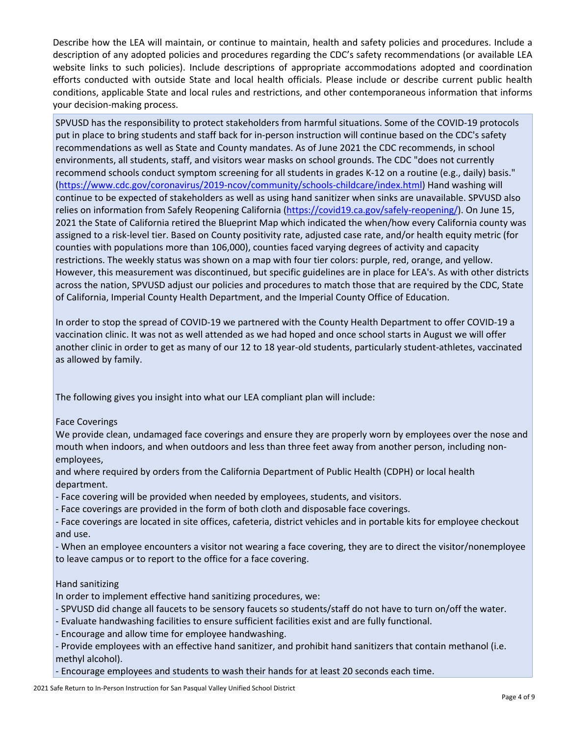Describe how the LEA will maintain, or continue to maintain, health and safety policies and procedures. Include a description of any adopted policies and procedures regarding the CDC's safety recommendations (or available LEA website links to such policies). Include descriptions of appropriate accommodations adopted and coordination efforts conducted with outside State and local health officials. Please include or describe current public health conditions, applicable State and local rules and restrictions, and other contemporaneous information that informs your decision-making process.

SPVUSD has the responsibility to protect stakeholders from harmful situations. Some of the COVID-19 protocols put in place to bring students and staff back for in-person instruction will continue based on the CDC's safety recommendations as well as State and County mandates. As of June 2021 the CDC recommends, in school environments, all students, staff, and visitors wear masks on school grounds. The CDC "does not currently recommend schools conduct symptom screening for all students in grades K-12 on a routine (e.g., daily) basis." [\(https://www.cdc.gov/coronavirus/2019-ncov/community/schools-childcare/index.html](https://www.cdc.gov/coronavirus/2019-ncov/community/schools-childcare/index.html)) Hand washing will continue to be expected of stakeholders as well as using hand sanitizer when sinks are unavailable. SPVUSD also relies on information from Safely Reopening California [\(https://covid19.ca.gov/safely-reopening/\)](https://covid19.ca.gov/safely-reopening/). On June 15, 2021 the State of California retired the Blueprint Map which indicated the when/how every California county was assigned to a risk-level tier. Based on County positivity rate, adjusted case rate, and/or health equity metric (for counties with populations more than 106,000), counties faced varying degrees of activity and capacity restrictions. The weekly status was shown on a map with four tier colors: purple, red, orange, and yellow. However, this measurement was discontinued, but specific guidelines are in place for LEA's. As with other districts across the nation, SPVUSD adjust our policies and procedures to match those that are required by the CDC, State of California, Imperial County Health Department, and the Imperial County Office of Education.

In order to stop the spread of COVID-19 we partnered with the County Health Department to offer COVID-19 a vaccination clinic. It was not as well attended as we had hoped and once school starts in August we will offer another clinic in order to get as many of our 12 to 18 year-old students, particularly student-athletes, vaccinated as allowed by family.

The following gives you insight into what our LEA compliant plan will include:

# Face Coverings

We provide clean, undamaged face coverings and ensure they are properly worn by employees over the nose and mouth when indoors, and when outdoors and less than three feet away from another person, including nonemployees,

and where required by orders from the California Department of Public Health (CDPH) or local health department.

- Face covering will be provided when needed by employees, students, and visitors.
- Face coverings are provided in the form of both cloth and disposable face coverings.

- Face coverings are located in site offices, cafeteria, district vehicles and in portable kits for employee checkout and use.

- When an employee encounters a visitor not wearing a face covering, they are to direct the visitor/nonemployee to leave campus or to report to the office for a face covering.

# Hand sanitizing

In order to implement effective hand sanitizing procedures, we:

- SPVUSD did change all faucets to be sensory faucets so students/staff do not have to turn on/off the water.
- Evaluate handwashing facilities to ensure sufficient facilities exist and are fully functional.
- Encourage and allow time for employee handwashing.
- Provide employees with an effective hand sanitizer, and prohibit hand sanitizers that contain methanol (i.e. methyl alcohol).
- Encourage employees and students to wash their hands for at least 20 seconds each time.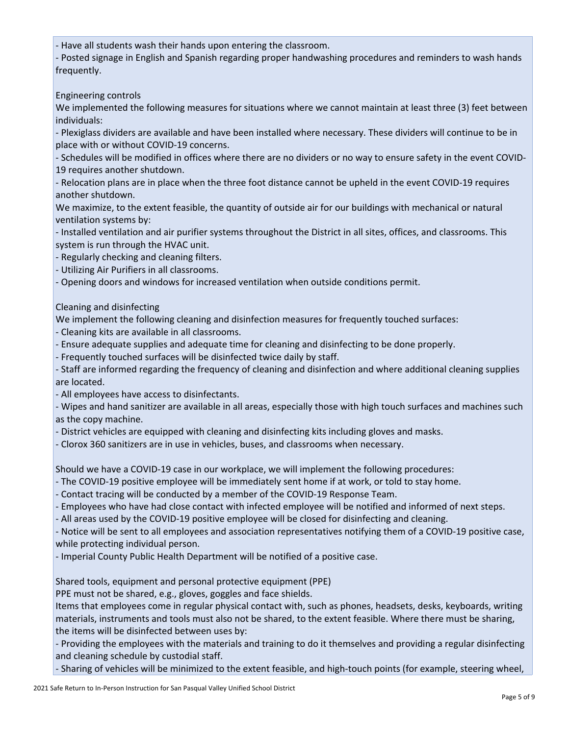- Have all students wash their hands upon entering the classroom.

- Posted signage in English and Spanish regarding proper handwashing procedures and reminders to wash hands frequently.

Engineering controls

We implemented the following measures for situations where we cannot maintain at least three (3) feet between individuals:

- Plexiglass dividers are available and have been installed where necessary. These dividers will continue to be in place with or without COVID-19 concerns.

- Schedules will be modified in offices where there are no dividers or no way to ensure safety in the event COVID-19 requires another shutdown.

- Relocation plans are in place when the three foot distance cannot be upheld in the event COVID-19 requires another shutdown.

We maximize, to the extent feasible, the quantity of outside air for our buildings with mechanical or natural ventilation systems by:

- Installed ventilation and air purifier systems throughout the District in all sites, offices, and classrooms. This system is run through the HVAC unit.

- Regularly checking and cleaning filters.

- Utilizing Air Purifiers in all classrooms.

- Opening doors and windows for increased ventilation when outside conditions permit.

Cleaning and disinfecting

We implement the following cleaning and disinfection measures for frequently touched surfaces:

- Cleaning kits are available in all classrooms.
- Ensure adequate supplies and adequate time for cleaning and disinfecting to be done properly.
- Frequently touched surfaces will be disinfected twice daily by staff.

- Staff are informed regarding the frequency of cleaning and disinfection and where additional cleaning supplies are located.

- All employees have access to disinfectants.

- Wipes and hand sanitizer are available in all areas, especially those with high touch surfaces and machines such as the copy machine.

- District vehicles are equipped with cleaning and disinfecting kits including gloves and masks.

- Clorox 360 sanitizers are in use in vehicles, buses, and classrooms when necessary.

Should we have a COVID-19 case in our workplace, we will implement the following procedures:

- The COVID-19 positive employee will be immediately sent home if at work, or told to stay home.

- Contact tracing will be conducted by a member of the COVID-19 Response Team.
- Employees who have had close contact with infected employee will be notified and informed of next steps.

- All areas used by the COVID-19 positive employee will be closed for disinfecting and cleaning.

- Notice will be sent to all employees and association representatives notifying them of a COVID-19 positive case, while protecting individual person.

- Imperial County Public Health Department will be notified of a positive case.

Shared tools, equipment and personal protective equipment (PPE)

PPE must not be shared, e.g., gloves, goggles and face shields.

Items that employees come in regular physical contact with, such as phones, headsets, desks, keyboards, writing materials, instruments and tools must also not be shared, to the extent feasible. Where there must be sharing, the items will be disinfected between uses by:

- Providing the employees with the materials and training to do it themselves and providing a regular disinfecting and cleaning schedule by custodial staff.

- Sharing of vehicles will be minimized to the extent feasible, and high-touch points (for example, steering wheel,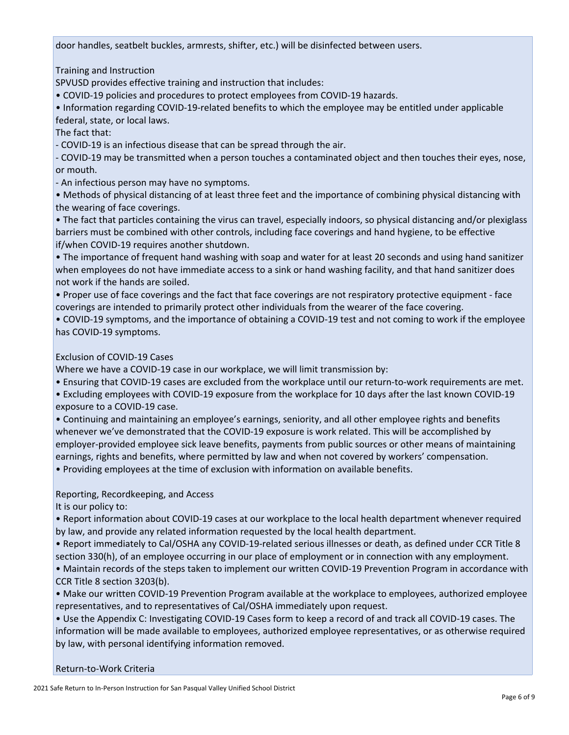door handles, seatbelt buckles, armrests, shifter, etc.) will be disinfected between users.

Training and Instruction

SPVUSD provides effective training and instruction that includes:

• COVID-19 policies and procedures to protect employees from COVID-19 hazards.

• Information regarding COVID-19-related benefits to which the employee may be entitled under applicable federal, state, or local laws.

The fact that:

- COVID-19 is an infectious disease that can be spread through the air.

- COVID-19 may be transmitted when a person touches a contaminated object and then touches their eyes, nose, or mouth.

- An infectious person may have no symptoms.

• Methods of physical distancing of at least three feet and the importance of combining physical distancing with the wearing of face coverings.

• The fact that particles containing the virus can travel, especially indoors, so physical distancing and/or plexiglass barriers must be combined with other controls, including face coverings and hand hygiene, to be effective if/when COVID-19 requires another shutdown.

• The importance of frequent hand washing with soap and water for at least 20 seconds and using hand sanitizer when employees do not have immediate access to a sink or hand washing facility, and that hand sanitizer does not work if the hands are soiled.

• Proper use of face coverings and the fact that face coverings are not respiratory protective equipment - face coverings are intended to primarily protect other individuals from the wearer of the face covering.

• COVID-19 symptoms, and the importance of obtaining a COVID-19 test and not coming to work if the employee has COVID-19 symptoms.

# Exclusion of COVID-19 Cases

Where we have a COVID-19 case in our workplace, we will limit transmission by:

• Ensuring that COVID-19 cases are excluded from the workplace until our return-to-work requirements are met.

• Excluding employees with COVID-19 exposure from the workplace for 10 days after the last known COVID-19 exposure to a COVID-19 case.

• Continuing and maintaining an employee's earnings, seniority, and all other employee rights and benefits whenever we've demonstrated that the COVID-19 exposure is work related. This will be accomplished by employer-provided employee sick leave benefits, payments from public sources or other means of maintaining earnings, rights and benefits, where permitted by law and when not covered by workers' compensation.

• Providing employees at the time of exclusion with information on available benefits.

# Reporting, Recordkeeping, and Access

It is our policy to:

• Report information about COVID-19 cases at our workplace to the local health department whenever required by law, and provide any related information requested by the local health department.

• Report immediately to Cal/OSHA any COVID-19-related serious illnesses or death, as defined under CCR Title 8 section 330(h), of an employee occurring in our place of employment or in connection with any employment.

• Maintain records of the steps taken to implement our written COVID-19 Prevention Program in accordance with CCR Title 8 section 3203(b).

• Make our written COVID-19 Prevention Program available at the workplace to employees, authorized employee representatives, and to representatives of Cal/OSHA immediately upon request.

• Use the Appendix C: Investigating COVID-19 Cases form to keep a record of and track all COVID-19 cases. The information will be made available to employees, authorized employee representatives, or as otherwise required by law, with personal identifying information removed.

#### Return-to-Work Criteria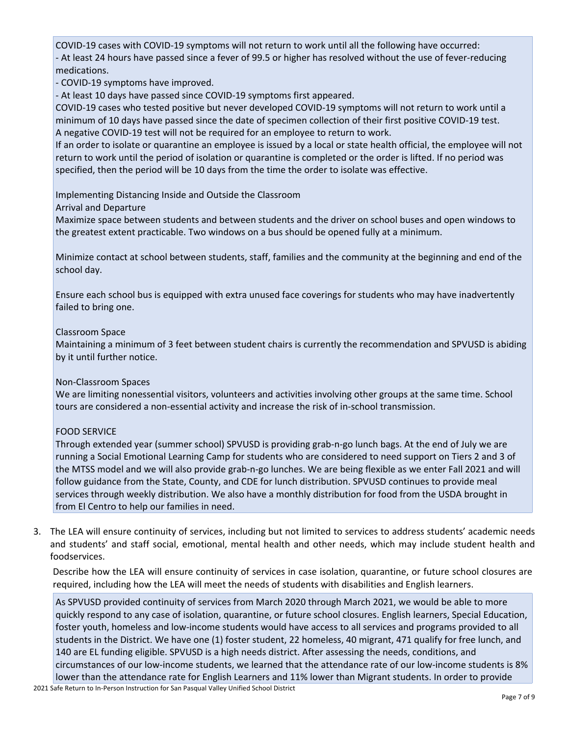COVID-19 cases with COVID-19 symptoms will not return to work until all the following have occurred: - At least 24 hours have passed since a fever of 99.5 or higher has resolved without the use of fever-reducing medications.

- COVID-19 symptoms have improved.

- At least 10 days have passed since COVID-19 symptoms first appeared.

COVID-19 cases who tested positive but never developed COVID-19 symptoms will not return to work until a minimum of 10 days have passed since the date of specimen collection of their first positive COVID-19 test. A negative COVID-19 test will not be required for an employee to return to work.

If an order to isolate or quarantine an employee is issued by a local or state health official, the employee will not return to work until the period of isolation or quarantine is completed or the order is lifted. If no period was specified, then the period will be 10 days from the time the order to isolate was effective.

Implementing Distancing Inside and Outside the Classroom

Arrival and Departure

Maximize space between students and between students and the driver on school buses and open windows to the greatest extent practicable. Two windows on a bus should be opened fully at a minimum.

Minimize contact at school between students, staff, families and the community at the beginning and end of the school day.

Ensure each school bus is equipped with extra unused face coverings for students who may have inadvertently failed to bring one.

#### Classroom Space

Maintaining a minimum of 3 feet between student chairs is currently the recommendation and SPVUSD is abiding by it until further notice.

#### Non-Classroom Spaces

We are limiting nonessential visitors, volunteers and activities involving other groups at the same time. School tours are considered a non-essential activity and increase the risk of in-school transmission.

#### FOOD SERVICE

Through extended year (summer school) SPVUSD is providing grab-n-go lunch bags. At the end of July we are running a Social Emotional Learning Camp for students who are considered to need support on Tiers 2 and 3 of the MTSS model and we will also provide grab-n-go lunches. We are being flexible as we enter Fall 2021 and will follow guidance from the State, County, and CDE for lunch distribution. SPVUSD continues to provide meal services through weekly distribution. We also have a monthly distribution for food from the USDA brought in from El Centro to help our families in need.

3. The LEA will ensure continuity of services, including but not limited to services to address students' academic needs and students' and staff social, emotional, mental health and other needs, which may include student health and foodservices.

Describe how the LEA will ensure continuity of services in case isolation, quarantine, or future school closures are required, including how the LEA will meet the needs of students with disabilities and English learners.

As SPVUSD provided continuity of services from March 2020 through March 2021, we would be able to more quickly respond to any case of isolation, quarantine, or future school closures. English learners, Special Education, foster youth, homeless and low-income students would have access to all services and programs provided to all students in the District. We have one (1) foster student, 22 homeless, 40 migrant, 471 qualify for free lunch, and 140 are EL funding eligible. SPVUSD is a high needs district. After assessing the needs, conditions, and circumstances of our low-income students, we learned that the attendance rate of our low-income students is 8% lower than the attendance rate for English Learners and 11% lower than Migrant students. In order to provide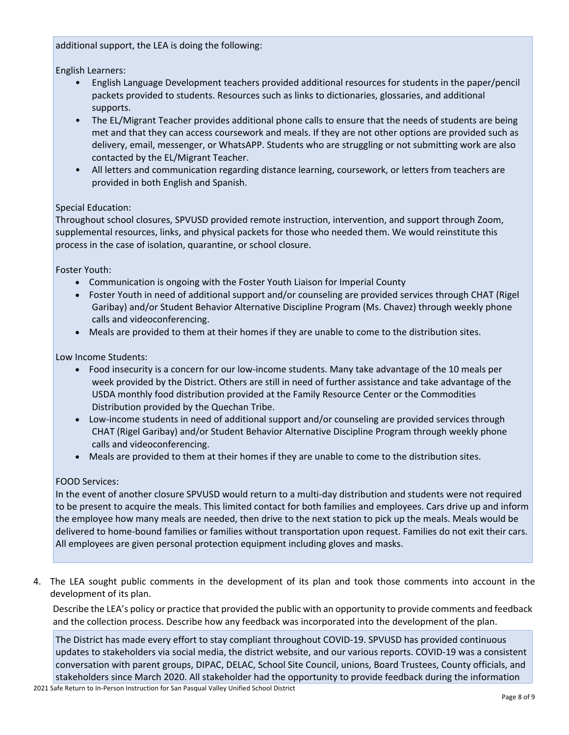additional support, the LEA is doing the following:

English Learners:

- English Language Development teachers provided additional resources for students in the paper/pencil packets provided to students. Resources such as links to dictionaries, glossaries, and additional supports.
- The EL/Migrant Teacher provides additional phone calls to ensure that the needs of students are being met and that they can access coursework and meals. If they are not other options are provided such as delivery, email, messenger, or WhatsAPP. Students who are struggling or not submitting work are also contacted by the EL/Migrant Teacher.
- All letters and communication regarding distance learning, coursework, or letters from teachers are provided in both English and Spanish.

# Special Education:

Throughout school closures, SPVUSD provided remote instruction, intervention, and support through Zoom, supplemental resources, links, and physical packets for those who needed them. We would reinstitute this process in the case of isolation, quarantine, or school closure.

Foster Youth:

- Communication is ongoing with the Foster Youth Liaison for Imperial County
- Foster Youth in need of additional support and/or counseling are provided services through CHAT (Rigel Garibay) and/or Student Behavior Alternative Discipline Program (Ms. Chavez) through weekly phone calls and videoconferencing.
- Meals are provided to them at their homes if they are unable to come to the distribution sites.

Low Income Students:

- Food insecurity is a concern for our low-income students. Many take advantage of the 10 meals per week provided by the District. Others are still in need of further assistance and take advantage of the USDA monthly food distribution provided at the Family Resource Center or the Commodities Distribution provided by the Quechan Tribe.
- Low-income students in need of additional support and/or counseling are provided services through CHAT (Rigel Garibay) and/or Student Behavior Alternative Discipline Program through weekly phone calls and videoconferencing.
- Meals are provided to them at their homes if they are unable to come to the distribution sites.

# FOOD Services:

In the event of another closure SPVUSD would return to a multi-day distribution and students were not required to be present to acquire the meals. This limited contact for both families and employees. Cars drive up and inform the employee how many meals are needed, then drive to the next station to pick up the meals. Meals would be delivered to home-bound families or families without transportation upon request. Families do not exit their cars. All employees are given personal protection equipment including gloves and masks.

4. The LEA sought public comments in the development of its plan and took those comments into account in the development of its plan.

Describe the LEA's policy or practice that provided the public with an opportunity to provide comments and feedback and the collection process. Describe how any feedback was incorporated into the development of the plan.

The District has made every effort to stay compliant throughout COVID-19. SPVUSD has provided continuous updates to stakeholders via social media, the district website, and our various reports. COVID-19 was a consistent conversation with parent groups, DIPAC, DELAC, School Site Council, unions, Board Trustees, County officials, and stakeholders since March 2020. All stakeholder had the opportunity to provide feedback during the information